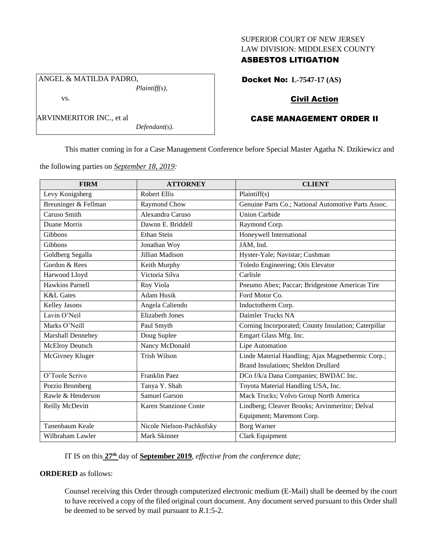### SUPERIOR COURT OF NEW JERSEY LAW DIVISION: MIDDLESEX COUNTY

## ASBESTOS LITIGATION

ANGEL & MATILDA PADRO, *Plaintiff(s),*

vs.

*Defendant(s).*

Docket No: **L-7547-17 (AS)**

# Civil Action

# CASE MANAGEMENT ORDER II

This matter coming in for a Case Management Conference before Special Master Agatha N. Dzikiewicz and

the following parties on *September 18, 2019:*

| <b>FIRM</b>            | <b>ATTORNEY</b>           | <b>CLIENT</b>                                        |
|------------------------|---------------------------|------------------------------------------------------|
| Levy Konigsberg        | <b>Robert Ellis</b>       | Plaintiff(s)                                         |
| Breuninger & Fellman   | Raymond Chow              | Genuine Parts Co.; National Automotive Parts Assoc.  |
| Caruso Smith           | Alexandra Caruso          | <b>Union Carbide</b>                                 |
| Duane Morris           | Dawnn E. Briddell         | Raymond Corp.                                        |
| Gibbons                | <b>Ethan Stein</b>        | Honeywell International                              |
| Gibbons                | Jonathan Woy              | JAM, Ind.                                            |
| Goldberg Segalla       | Jillian Madison           | Hyster-Yale; Navistar; Cushman                       |
| Gordon & Rees          | Keith Murphy              | Toledo Engineering; Otis Elevator                    |
| Harwood Lloyd          | Victoria Silva            | Carlisle                                             |
| <b>Hawkins Parnell</b> | Roy Viola                 | Pneumo Abex; Paccar; Bridgestone Americas Tire       |
| <b>K&amp;L</b> Gates   | <b>Adam Husik</b>         | Ford Motor Co.                                       |
| Kelley Jasons          | Angela Caliendo           | Inductotherm Corp.                                   |
| Lavin O'Neil           | <b>Elizabeth Jones</b>    | Daimler Trucks NA                                    |
| Marks O'Neill          | Paul Smyth                | Corning Incorporated; County Insulation; Caterpillar |
| Marshall Dennehey      | Doug Suplee               | Emgart Glass Mfg. Inc.                               |
| McElroy Deutsch        | Nancy McDonald            | Lipe Automation                                      |
| McGivney Kluger        | <b>Trish Wilson</b>       | Linde Material Handling; Ajax Magnethermic Corp.;    |
|                        |                           | Brand Insulations; Sheldon Drullard                  |
| O'Toole Scrivo         | Franklin Paez             | DCo f/k/a Dana Companies; BWDAC Inc.                 |
| Porzio Bromberg        | Tanya Y. Shah             | Toyota Material Handling USA, Inc.                   |
| Rawle & Henderson      | <b>Samuel Garson</b>      | Mack Trucks; Volvo Group North America               |
| Reilly McDevitt        | Karen Stanzione Conte     | Lindberg; Cleaver Brooks; Arvinmeritor; Delval       |
|                        |                           | Equipment; Maremont Corp.                            |
| Tanenbaum Keale        | Nicole Nielson-Pachkofsky | <b>Borg Warner</b>                                   |
| Wilbraham Lawler       | Mark Skinner              | Clark Equipment                                      |

IT IS on this **27th** day of **September 2019**, *effective from the conference date;*

**ORDERED** as follows:

Counsel receiving this Order through computerized electronic medium (E-Mail) shall be deemed by the court to have received a copy of the filed original court document. Any document served pursuant to this Order shall be deemed to be served by mail pursuant to *R*.1:5-2.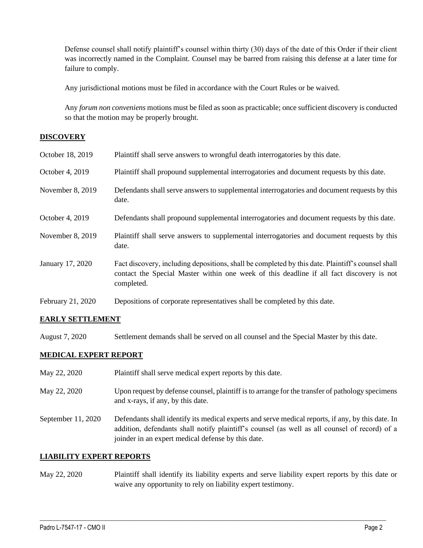Defense counsel shall notify plaintiff's counsel within thirty (30) days of the date of this Order if their client was incorrectly named in the Complaint. Counsel may be barred from raising this defense at a later time for failure to comply.

Any jurisdictional motions must be filed in accordance with the Court Rules or be waived.

Any *forum non conveniens* motions must be filed as soon as practicable; once sufficient discovery is conducted so that the motion may be properly brought.

## **DISCOVERY**

| October 18, 2019  | Plaintiff shall serve answers to wrongful death interrogatories by this date.                                                                                                                               |
|-------------------|-------------------------------------------------------------------------------------------------------------------------------------------------------------------------------------------------------------|
| October 4, 2019   | Plaintiff shall propound supplemental interrogatories and document requests by this date.                                                                                                                   |
| November 8, 2019  | Defendants shall serve answers to supplemental interrogatories and document requests by this<br>date.                                                                                                       |
| October 4, 2019   | Defendants shall propound supplemental interrogatories and document requests by this date.                                                                                                                  |
| November 8, 2019  | Plaintiff shall serve answers to supplemental interrogatories and document requests by this<br>date.                                                                                                        |
| January 17, 2020  | Fact discovery, including depositions, shall be completed by this date. Plaintiff's counsel shall<br>contact the Special Master within one week of this deadline if all fact discovery is not<br>completed. |
| February 21, 2020 | Depositions of corporate representatives shall be completed by this date.                                                                                                                                   |

## **EARLY SETTLEMENT**

August 7, 2020 Settlement demands shall be served on all counsel and the Special Master by this date.

## **MEDICAL EXPERT REPORT**

- May 22, 2020 Plaintiff shall serve medical expert reports by this date.
- May 22, 2020 Upon request by defense counsel, plaintiff is to arrange for the transfer of pathology specimens and x-rays, if any, by this date.
- September 11, 2020 Defendants shall identify its medical experts and serve medical reports, if any, by this date. In addition, defendants shall notify plaintiff's counsel (as well as all counsel of record) of a joinder in an expert medical defense by this date.

## **LIABILITY EXPERT REPORTS**

May 22, 2020 Plaintiff shall identify its liability experts and serve liability expert reports by this date or waive any opportunity to rely on liability expert testimony.

 $\_$  , and the set of the set of the set of the set of the set of the set of the set of the set of the set of the set of the set of the set of the set of the set of the set of the set of the set of the set of the set of th